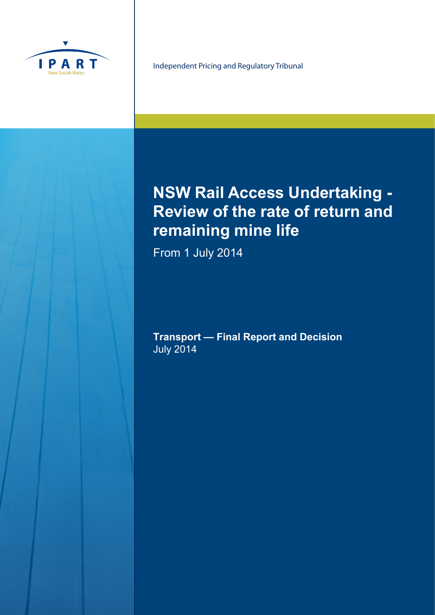

Independent Pricing and Regulatory Tribunal

# **NSW Rail Access Undertaking - Review of the rate of return and remaining mine life**

From 1 July 2014

**Transport — Final Report and Decision** July 2014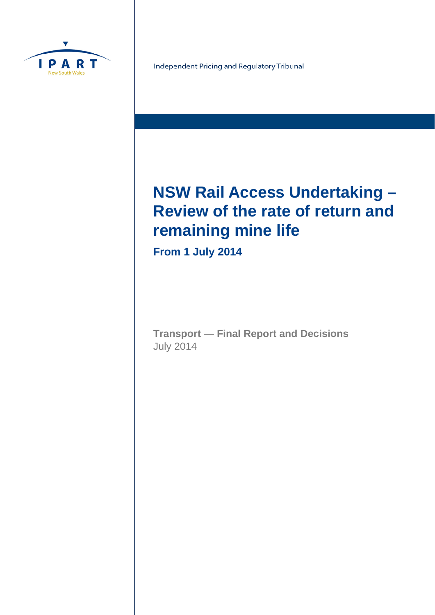

Independent Pricing and Regulatory Tribunal

# **NSW Rail Access Undertaking – Review of the rate of return and remaining mine life**

**From 1 July 2014**

**Transport — Final Report and Decisions**  July 2014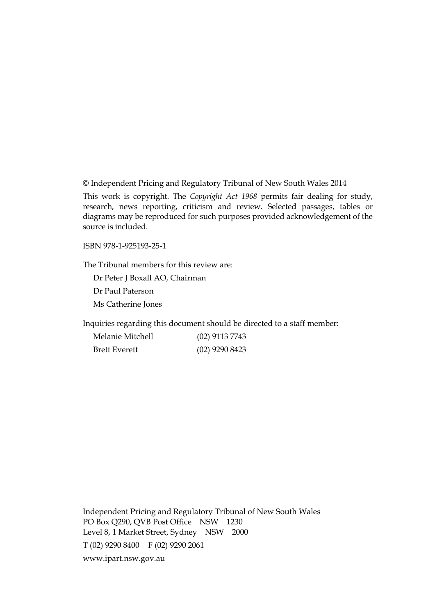© Independent Pricing and Regulatory Tribunal of New South Wales 2014

This work is copyright. The *Copyright Act 1968* permits fair dealing for study, research, news reporting, criticism and review. Selected passages, tables or diagrams may be reproduced for such purposes provided acknowledgement of the source is included.

ISBN 978-1-925193-25-1

The Tribunal members for this review are:

Dr Peter J Boxall AO, Chairman

Dr Paul Paterson

Ms Catherine Jones

Inquiries regarding this document should be directed to a staff member:

| Melanie Mitchell     | $(02)$ 9113 7743 |
|----------------------|------------------|
| <b>Brett Everett</b> | $(02)$ 9290 8423 |

Independent Pricing and Regulatory Tribunal of New South Wales PO Box Q290, QVB Post Office NSW 1230 Level 8, 1 Market Street, Sydney NSW 2000 T (02) 9290 8400 F (02) 9290 2061 www.ipart.nsw.gov.au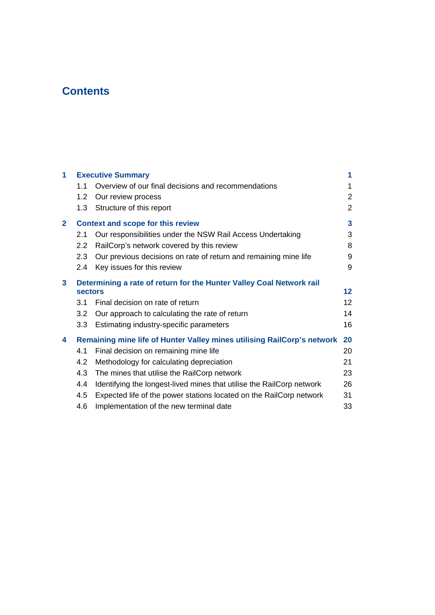# **Contents**

| 1            |                | <b>Executive Summary</b>                                                | 1               |
|--------------|----------------|-------------------------------------------------------------------------|-----------------|
|              | 1.1            | Overview of our final decisions and recommendations                     | 1               |
|              | 1.2            | Our review process                                                      | $\overline{2}$  |
|              | 1.3            | Structure of this report                                                | 2               |
| $\mathbf{2}$ |                | <b>Context and scope for this review</b>                                | 3               |
|              | 2.1            | Our responsibilities under the NSW Rail Access Undertaking              | 3               |
|              | 2.2            | RailCorp's network covered by this review                               | 8               |
|              | 2.3            | Our previous decisions on rate of return and remaining mine life        | 9               |
|              | 2.4            | Key issues for this review                                              | 9               |
| 3            |                | Determining a rate of return for the Hunter Valley Coal Network rail    |                 |
|              | <b>sectors</b> |                                                                         | $12 \,$         |
|              | 3.1            | Final decision on rate of return                                        | 12 <sup>2</sup> |
|              | 3.2            | Our approach to calculating the rate of return                          | 14              |
|              | 3.3            | Estimating industry-specific parameters                                 | 16              |
| 4            |                | Remaining mine life of Hunter Valley mines utilising RailCorp's network | 20              |
|              | 4.1            | Final decision on remaining mine life                                   | 20              |
|              | 4.2            | Methodology for calculating depreciation                                | 21              |
|              | 4.3            | The mines that utilise the RailCorp network                             | 23              |
|              | 4.4            | Identifying the longest-lived mines that utilise the RailCorp network   | 26              |
|              | 4.5            | Expected life of the power stations located on the RailCorp network     | 31              |
|              | 4.6            | Implementation of the new terminal date                                 | 33              |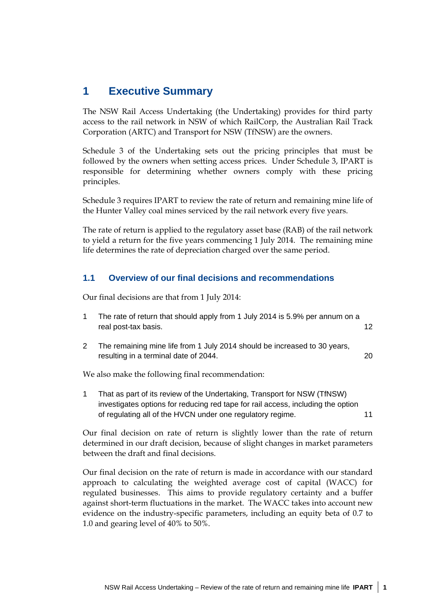## **1 Executive Summary**

The NSW Rail Access Undertaking (the Undertaking) provides for third party access to the rail network in NSW of which RailCorp, the Australian Rail Track Corporation (ARTC) and Transport for NSW (TfNSW) are the owners.

Schedule 3 of the Undertaking sets out the pricing principles that must be followed by the owners when setting access prices. Under Schedule 3, IPART is responsible for determining whether owners comply with these pricing principles.

Schedule 3 requires IPART to review the rate of return and remaining mine life of the Hunter Valley coal mines serviced by the rail network every five years.

The rate of return is applied to the regulatory asset base (RAB) of the rail network to yield a return for the five years commencing 1 July 2014. The remaining mine life determines the rate of depreciation charged over the same period.

## **1.1 Overview of our final decisions and recommendations**

Our final decisions are that from 1 July 2014:

| The rate of return that should apply from 1 July 2014 is 5.9% per annum on a<br>real post-tax basis.               |    |
|--------------------------------------------------------------------------------------------------------------------|----|
| The remaining mine life from 1 July 2014 should be increased to 30 years,<br>resulting in a terminal date of 2044. | 20 |

We also make the following final recommendation:

1 That as part of its review of the Undertaking, Transport for NSW (TfNSW) investigates options for reducing red tape for rail access, including the option of regulating all of the HVCN under one regulatory regime. 11

Our final decision on rate of return is slightly lower than the rate of return determined in our draft decision, because of slight changes in market parameters between the draft and final decisions.

Our final decision on the rate of return is made in accordance with our standard approach to calculating the weighted average cost of capital (WACC) for regulated businesses. This aims to provide regulatory certainty and a buffer against short-term fluctuations in the market. The WACC takes into account new evidence on the industry-specific parameters, including an equity beta of 0.7 to 1.0 and gearing level of 40% to 50%.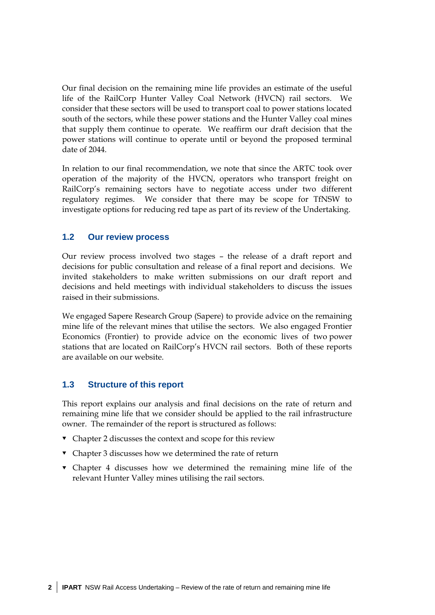Our final decision on the remaining mine life provides an estimate of the useful life of the RailCorp Hunter Valley Coal Network (HVCN) rail sectors. We consider that these sectors will be used to transport coal to power stations located south of the sectors, while these power stations and the Hunter Valley coal mines that supply them continue to operate. We reaffirm our draft decision that the power stations will continue to operate until or beyond the proposed terminal date of 2044.

In relation to our final recommendation, we note that since the ARTC took over operation of the majority of the HVCN, operators who transport freight on RailCorp's remaining sectors have to negotiate access under two different regulatory regimes. We consider that there may be scope for TfNSW to investigate options for reducing red tape as part of its review of the Undertaking.

## **1.2 Our review process**

Our review process involved two stages – the release of a draft report and decisions for public consultation and release of a final report and decisions. We invited stakeholders to make written submissions on our draft report and decisions and held meetings with individual stakeholders to discuss the issues raised in their submissions.

We engaged Sapere Research Group (Sapere) to provide advice on the remaining mine life of the relevant mines that utilise the sectors. We also engaged Frontier Economics (Frontier) to provide advice on the economic lives of two power stations that are located on RailCorp's HVCN rail sectors. Both of these reports are available on our website.

## **1.3 Structure of this report**

This report explains our analysis and final decisions on the rate of return and remaining mine life that we consider should be applied to the rail infrastructure owner. The remainder of the report is structured as follows:

- Chapter 2 discusses the context and scope for this review
- Chapter 3 discusses how we determined the rate of return
- Chapter 4 discusses how we determined the remaining mine life of the relevant Hunter Valley mines utilising the rail sectors.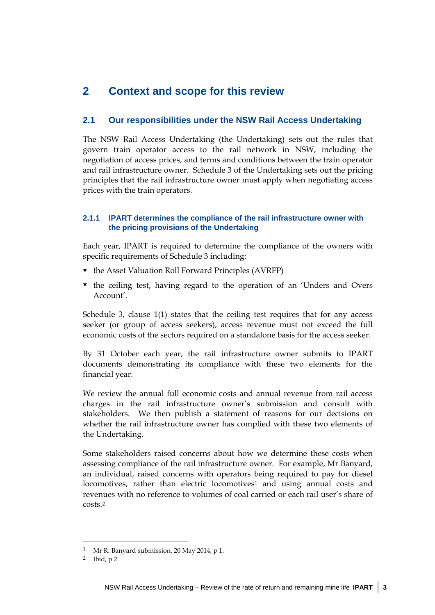## **2 Context and scope for this review**

## **2.1 Our responsibilities under the NSW Rail Access Undertaking**

The NSW Rail Access Undertaking (the Undertaking) sets out the rules that govern train operator access to the rail network in NSW, including the negotiation of access prices, and terms and conditions between the train operator and rail infrastructure owner. Schedule 3 of the Undertaking sets out the pricing principles that the rail infrastructure owner must apply when negotiating access prices with the train operators.

### **2.1.1 IPART determines the compliance of the rail infrastructure owner with the pricing provisions of the Undertaking**

Each year, IPART is required to determine the compliance of the owners with specific requirements of Schedule 3 including:

- $\bullet$  the Asset Valuation Roll Forward Principles (AVRFP)
- $\bullet$  the ceiling test, having regard to the operation of an 'Unders and Overs Account'.

Schedule 3, clause 1(1) states that the ceiling test requires that for any access seeker (or group of access seekers), access revenue must not exceed the full economic costs of the sectors required on a standalone basis for the access seeker.

By 31 October each year, the rail infrastructure owner submits to IPART documents demonstrating its compliance with these two elements for the financial year.

We review the annual full economic costs and annual revenue from rail access charges in the rail infrastructure owner's submission and consult with stakeholders. We then publish a statement of reasons for our decisions on whether the rail infrastructure owner has complied with these two elements of the Undertaking.

Some stakeholders raised concerns about how we determine these costs when assessing compliance of the rail infrastructure owner. For example, Mr Banyard, an individual, raised concerns with operators being required to pay for diesel locomotives, rather than electric locomotives1 and using annual costs and revenues with no reference to volumes of coal carried or each rail user's share of costs.2

<sup>1</sup> Mr R. Banyard submission, 20 May 2014, p 1.

<sup>2</sup> Ibid, p 2.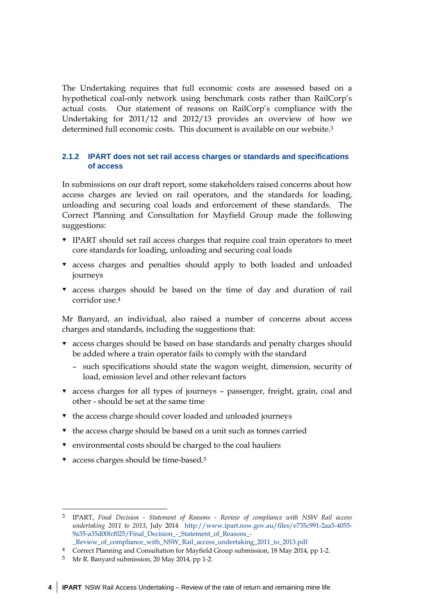The Undertaking requires that full economic costs are assessed based on a hypothetical coal-only network using benchmark costs rather than RailCorp's actual costs. Our statement of reasons on RailCorp's compliance with the Undertaking for 2011/12 and 2012/13 provides an overview of how we determined full economic costs. This document is available on our website.3

#### **2.1.2 IPART does not set rail access charges or standards and specifications of access**

In submissions on our draft report, some stakeholders raised concerns about how access charges are levied on rail operators, and the standards for loading, unloading and securing coal loads and enforcement of these standards. The Correct Planning and Consultation for Mayfield Group made the following suggestions:

- IPART should set rail access charges that require coal train operators to meet core standards for loading, unloading and securing coal loads
- access charges and penalties should apply to both loaded and unloaded journeys
- access charges should be based on the time of day and duration of rail corridor use.4

Mr Banyard, an individual, also raised a number of concerns about access charges and standards, including the suggestions that:

- access charges should be based on base standards and penalty charges should be added where a train operator fails to comply with the standard
	- such specifications should state the wagon weight, dimension, security of load, emission level and other relevant factors
- access charges for all types of journeys passenger, freight, grain, coal and other - should be set at the same time
- $\bullet$  the access charge should cover loaded and unloaded journeys
- $\bullet$  the access charge should be based on a unit such as tonnes carried
- environmental costs should be charged to the coal hauliers
- v access charges should be time-based.<sup>5</sup>

<u>.</u>

<sup>3</sup> IPART, *Final Decision - Statement of Reasons - Review of compliance with NSW Rail access undertaking 2011 to 2013*, July 2014 http://www.ipart.nsw.gov.au/files/e735c991-2aa5-4055- 9a35-a35d00fcf025/Final\_Decision\_-\_Statement\_of\_Reasons\_- \_Review\_of\_compliance\_with\_NSW\_Rail\_access\_undertaking\_2011\_to\_2013.pdf

<sup>4</sup> Correct Planning and Consultation for Mayfield Group submission, 18 May 2014, pp 1-2.

<sup>5</sup> Mr R. Banyard submission, 20 May 2014, pp 1-2.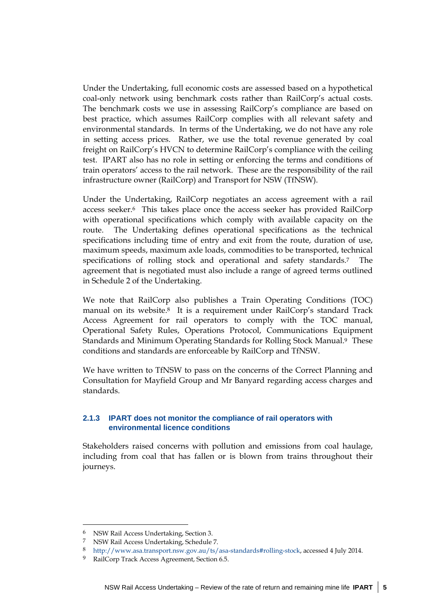Under the Undertaking, full economic costs are assessed based on a hypothetical coal-only network using benchmark costs rather than RailCorp's actual costs. The benchmark costs we use in assessing RailCorp's compliance are based on best practice, which assumes RailCorp complies with all relevant safety and environmental standards. In terms of the Undertaking, we do not have any role in setting access prices. Rather, we use the total revenue generated by coal freight on RailCorp's HVCN to determine RailCorp's compliance with the ceiling test. IPART also has no role in setting or enforcing the terms and conditions of train operators' access to the rail network. These are the responsibility of the rail infrastructure owner (RailCorp) and Transport for NSW (TfNSW).

Under the Undertaking, RailCorp negotiates an access agreement with a rail access seeker.6 This takes place once the access seeker has provided RailCorp with operational specifications which comply with available capacity on the route. The Undertaking defines operational specifications as the technical specifications including time of entry and exit from the route, duration of use, maximum speeds, maximum axle loads, commodities to be transported, technical specifications of rolling stock and operational and safety standards.7 The agreement that is negotiated must also include a range of agreed terms outlined in Schedule 2 of the Undertaking.

We note that RailCorp also publishes a Train Operating Conditions (TOC) manual on its website.8 It is a requirement under RailCorp's standard Track Access Agreement for rail operators to comply with the TOC manual, Operational Safety Rules, Operations Protocol, Communications Equipment Standards and Minimum Operating Standards for Rolling Stock Manual.<sup>9</sup> These conditions and standards are enforceable by RailCorp and TfNSW.

We have written to TfNSW to pass on the concerns of the Correct Planning and Consultation for Mayfield Group and Mr Banyard regarding access charges and standards.

## **2.1.3 IPART does not monitor the compliance of rail operators with environmental licence conditions**

Stakeholders raised concerns with pollution and emissions from coal haulage, including from coal that has fallen or is blown from trains throughout their journeys.

 $\ddot{\phantom{a}}$ 

<sup>6</sup> NSW Rail Access Undertaking, Section 3.

<sup>7</sup> NSW Rail Access Undertaking, Schedule 7.

<sup>8</sup> http://www.asa.transport.nsw.gov.au/ts/asa-standards#rolling-stock, accessed 4 July 2014.

<sup>9</sup> RailCorp Track Access Agreement, Section 6.5.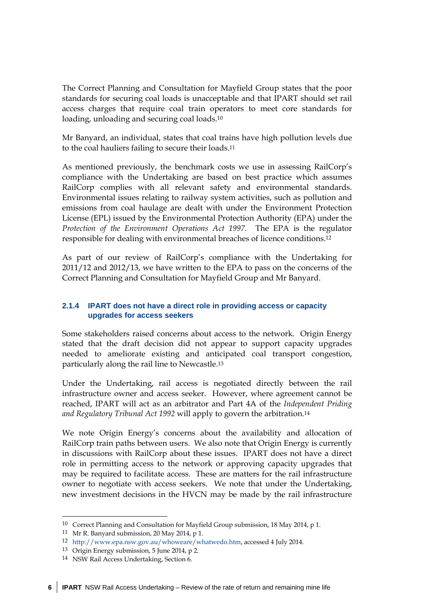The Correct Planning and Consultation for Mayfield Group states that the poor standards for securing coal loads is unacceptable and that IPART should set rail access charges that require coal train operators to meet core standards for loading, unloading and securing coal loads.10

Mr Banyard, an individual, states that coal trains have high pollution levels due to the coal hauliers failing to secure their loads.11

As mentioned previously, the benchmark costs we use in assessing RailCorp's compliance with the Undertaking are based on best practice which assumes RailCorp complies with all relevant safety and environmental standards. Environmental issues relating to railway system activities, such as pollution and emissions from coal haulage are dealt with under the Environment Protection License (EPL) issued by the Environmental Protection Authority (EPA) under the *Protection of the Environment Operations Act 1997*. The EPA is the regulator responsible for dealing with environmental breaches of licence conditions.12

As part of our review of RailCorp's compliance with the Undertaking for 2011/12 and 2012/13, we have written to the EPA to pass on the concerns of the Correct Planning and Consultation for Mayfield Group and Mr Banyard.

## **2.1.4 IPART does not have a direct role in providing access or capacity upgrades for access seekers**

Some stakeholders raised concerns about access to the network. Origin Energy stated that the draft decision did not appear to support capacity upgrades needed to ameliorate existing and anticipated coal transport congestion, particularly along the rail line to Newcastle.13

Under the Undertaking, rail access is negotiated directly between the rail infrastructure owner and access seeker. However, where agreement cannot be reached, IPART will act as an arbitrator and Part 4A of the *Independent Priding and Regulatory Tribunal Act 1992* will apply to govern the arbitration.14

We note Origin Energy's concerns about the availability and allocation of RailCorp train paths between users. We also note that Origin Energy is currently in discussions with RailCorp about these issues. IPART does not have a direct role in permitting access to the network or approving capacity upgrades that may be required to facilitate access. These are matters for the rail infrastructure owner to negotiate with access seekers. We note that under the Undertaking, new investment decisions in the HVCN may be made by the rail infrastructure

<u>.</u>

<sup>10</sup> Correct Planning and Consultation for Mayfield Group submission, 18 May 2014, p 1.

<sup>11</sup> Mr R. Banyard submission, 20 May 2014, p 1.

<sup>12</sup> http://www.epa.nsw.gov.au/whoweare/whatwedo.htm, accessed 4 July 2014.

<sup>13</sup> Origin Energy submission, 5 June 2014, p 2.

<sup>14</sup> NSW Rail Access Undertaking, Section 6.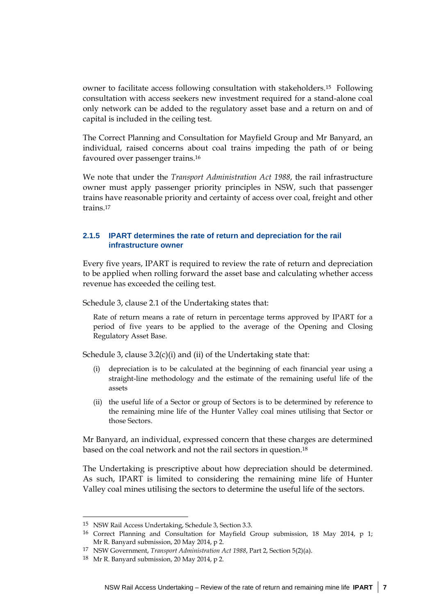owner to facilitate access following consultation with stakeholders.15 Following consultation with access seekers new investment required for a stand-alone coal only network can be added to the regulatory asset base and a return on and of capital is included in the ceiling test.

The Correct Planning and Consultation for Mayfield Group and Mr Banyard, an individual, raised concerns about coal trains impeding the path of or being favoured over passenger trains.16

We note that under the *Transport Administration Act 1988*, the rail infrastructure owner must apply passenger priority principles in NSW, such that passenger trains have reasonable priority and certainty of access over coal, freight and other trains.17

#### **2.1.5 IPART determines the rate of return and depreciation for the rail infrastructure owner**

Every five years, IPART is required to review the rate of return and depreciation to be applied when rolling forward the asset base and calculating whether access revenue has exceeded the ceiling test.

Schedule 3, clause 2.1 of the Undertaking states that:

Rate of return means a rate of return in percentage terms approved by IPART for a period of five years to be applied to the average of the Opening and Closing Regulatory Asset Base.

Schedule 3, clause 3.2(c)(i) and (ii) of the Undertaking state that:

- (i) depreciation is to be calculated at the beginning of each financial year using a straight-line methodology and the estimate of the remaining useful life of the assets
- (ii) the useful life of a Sector or group of Sectors is to be determined by reference to the remaining mine life of the Hunter Valley coal mines utilising that Sector or those Sectors.

Mr Banyard, an individual, expressed concern that these charges are determined based on the coal network and not the rail sectors in question.18

The Undertaking is prescriptive about how depreciation should be determined. As such, IPART is limited to considering the remaining mine life of Hunter Valley coal mines utilising the sectors to determine the useful life of the sectors.

<sup>15</sup> NSW Rail Access Undertaking, Schedule 3, Section 3.3.

<sup>16</sup> Correct Planning and Consultation for Mayfield Group submission, 18 May 2014, p 1; Mr R. Banyard submission, 20 May 2014, p 2.

<sup>17</sup> NSW Government, *Transport Administration Act 1988*, Part 2, Section 5(2)(a).

<sup>18</sup> Mr R. Banyard submission, 20 May 2014, p 2.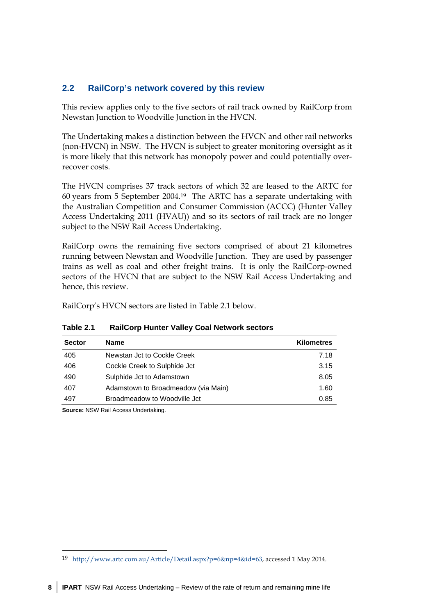## **2.2 RailCorp's network covered by this review**

This review applies only to the five sectors of rail track owned by RailCorp from Newstan Junction to Woodville Junction in the HVCN.

The Undertaking makes a distinction between the HVCN and other rail networks (non-HVCN) in NSW. The HVCN is subject to greater monitoring oversight as it is more likely that this network has monopoly power and could potentially overrecover costs.

The HVCN comprises 37 track sectors of which 32 are leased to the ARTC for 60 years from 5 September 2004.19 The ARTC has a separate undertaking with the Australian Competition and Consumer Commission (ACCC) (Hunter Valley Access Undertaking 2011 (HVAU)) and so its sectors of rail track are no longer subject to the NSW Rail Access Undertaking.

RailCorp owns the remaining five sectors comprised of about 21 kilometres running between Newstan and Woodville Junction. They are used by passenger trains as well as coal and other freight trains. It is only the RailCorp-owned sectors of the HVCN that are subject to the NSW Rail Access Undertaking and hence, this review.

RailCorp's HVCN sectors are listed in Table 2.1 below.

| <b>Sector</b> | <b>Name</b>                         | <b>Kilometres</b> |
|---------------|-------------------------------------|-------------------|
| 405           | Newstan Jct to Cockle Creek         | 7.18              |
| 406           | Cockle Creek to Sulphide Jct        | 3.15              |
| 490           | Sulphide Jct to Adamstown           | 8.05              |
| 407           | Adamstown to Broadmeadow (via Main) | 1.60              |
| 497           | Broadmeadow to Woodville Jct        | 0.85              |

**Table 2.1 RailCorp Hunter Valley Coal Network sectors** 

**Source:** NSW Rail Access Undertaking.

-

<sup>19</sup> http://www.artc.com.au/Article/Detail.aspx?p=6&np=4&id=63, accessed 1 May 2014.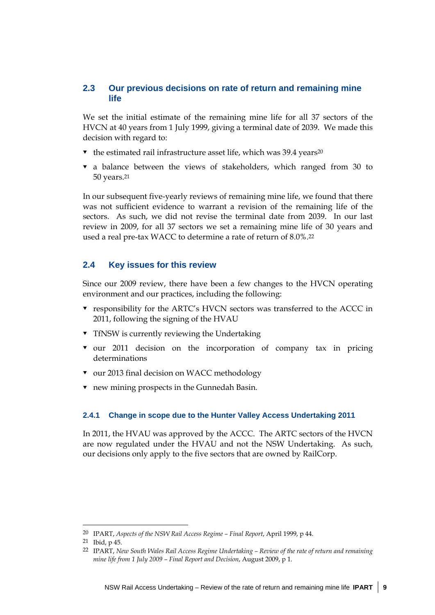## **2.3 Our previous decisions on rate of return and remaining mine life**

We set the initial estimate of the remaining mine life for all 37 sectors of the HVCN at 40 years from 1 July 1999, giving a terminal date of 2039. We made this decision with regard to:

- $\bullet$  the estimated rail infrastructure asset life, which was 39.4 years<sup>20</sup>
- $\bullet$  a balance between the views of stakeholders, which ranged from 30 to 50 years.21

In our subsequent five-yearly reviews of remaining mine life, we found that there was not sufficient evidence to warrant a revision of the remaining life of the sectors. As such, we did not revise the terminal date from 2039. In our last review in 2009, for all 37 sectors we set a remaining mine life of 30 years and used a real pre-tax WACC to determine a rate of return of 8.0%.22

#### **2.4 Key issues for this review**

Since our 2009 review, there have been a few changes to the HVCN operating environment and our practices, including the following:

- responsibility for the ARTC's HVCN sectors was transferred to the ACCC in 2011, following the signing of the HVAU
- **Timesh** TfNSW is currently reviewing the Undertaking
- $\bullet$  our 2011 decision on the incorporation of company tax in pricing determinations
- ▼ our 2013 final decision on WACC methodology
- new mining prospects in the Gunnedah Basin.

#### **2.4.1 Change in scope due to the Hunter Valley Access Undertaking 2011**

In 2011, the HVAU was approved by the ACCC. The ARTC sectors of the HVCN are now regulated under the HVAU and not the NSW Undertaking. As such, our decisions only apply to the five sectors that are owned by RailCorp.

<sup>20</sup> IPART, *Aspects of the NSW Rail Access Regime – Final Report*, April 1999, p 44.

<sup>21</sup> Ibid, p 45.

<sup>22</sup> IPART, *New South Wales Rail Access Regime Undertaking – Review of the rate of return and remaining mine life from 1 July 2009 – Final Report and Decision*, August 2009, p 1.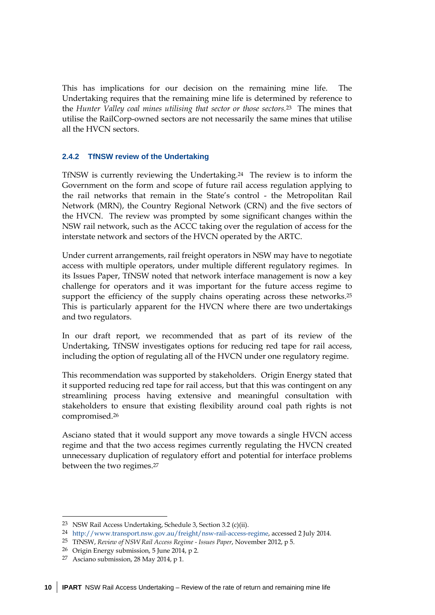This has implications for our decision on the remaining mine life. The Undertaking requires that the remaining mine life is determined by reference to the *Hunter Valley coal mines utilising that sector or those sectors.*<sup>23</sup>The mines that utilise the RailCorp-owned sectors are not necessarily the same mines that utilise all the HVCN sectors.

#### **2.4.2 TfNSW review of the Undertaking**

TfNSW is currently reviewing the Undertaking.24 The review is to inform the Government on the form and scope of future rail access regulation applying to the rail networks that remain in the State's control - the Metropolitan Rail Network (MRN), the Country Regional Network (CRN) and the five sectors of the HVCN. The review was prompted by some significant changes within the NSW rail network, such as the ACCC taking over the regulation of access for the interstate network and sectors of the HVCN operated by the ARTC.

Under current arrangements, rail freight operators in NSW may have to negotiate access with multiple operators, under multiple different regulatory regimes. In its Issues Paper, TfNSW noted that network interface management is now a key challenge for operators and it was important for the future access regime to support the efficiency of the supply chains operating across these networks.<sup>25</sup> This is particularly apparent for the HVCN where there are two undertakings and two regulators.

In our draft report, we recommended that as part of its review of the Undertaking, TfNSW investigates options for reducing red tape for rail access, including the option of regulating all of the HVCN under one regulatory regime.

This recommendation was supported by stakeholders. Origin Energy stated that it supported reducing red tape for rail access, but that this was contingent on any streamlining process having extensive and meaningful consultation with stakeholders to ensure that existing flexibility around coal path rights is not compromised.26

Asciano stated that it would support any move towards a single HVCN access regime and that the two access regimes currently regulating the HVCN created unnecessary duplication of regulatory effort and potential for interface problems between the two regimes.27

<u>.</u>

<sup>23</sup> NSW Rail Access Undertaking, Schedule 3, Section 3.2 (c)(ii).

<sup>24</sup> http://www.transport.nsw.gov.au/freight/nsw-rail-access-regime, accessed 2 July 2014.

<sup>25</sup> TfNSW, *Review of NSW Rail Access Regime - Issues Paper*, November 2012, p 5.

<sup>26</sup> Origin Energy submission, 5 June 2014, p 2.

<sup>27</sup> Asciano submission, 28 May 2014, p 1.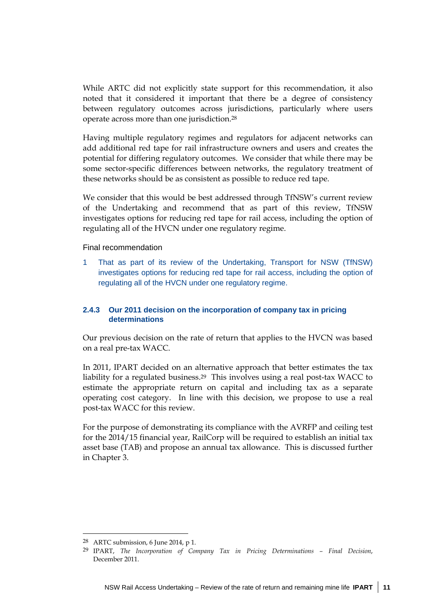While ARTC did not explicitly state support for this recommendation, it also noted that it considered it important that there be a degree of consistency between regulatory outcomes across jurisdictions, particularly where users operate across more than one jurisdiction.28

Having multiple regulatory regimes and regulators for adjacent networks can add additional red tape for rail infrastructure owners and users and creates the potential for differing regulatory outcomes. We consider that while there may be some sector-specific differences between networks, the regulatory treatment of these networks should be as consistent as possible to reduce red tape.

We consider that this would be best addressed through TfNSW's current review of the Undertaking and recommend that as part of this review, TfNSW investigates options for reducing red tape for rail access, including the option of regulating all of the HVCN under one regulatory regime.

Final recommendation

1 That as part of its review of the Undertaking, Transport for NSW (TfNSW) investigates options for reducing red tape for rail access, including the option of regulating all of the HVCN under one regulatory regime.

## **2.4.3 Our 2011 decision on the incorporation of company tax in pricing determinations**

Our previous decision on the rate of return that applies to the HVCN was based on a real pre-tax WACC.

In 2011, IPART decided on an alternative approach that better estimates the tax liability for a regulated business.29 This involves using a real post-tax WACC to estimate the appropriate return on capital and including tax as a separate operating cost category. In line with this decision, we propose to use a real post-tax WACC for this review.

For the purpose of demonstrating its compliance with the AVRFP and ceiling test for the 2014/15 financial year, RailCorp will be required to establish an initial tax asset base (TAB) and propose an annual tax allowance. This is discussed further in Chapter 3.

<sup>28</sup> ARTC submission, 6 June 2014, p 1.

<sup>29</sup> IPART, *The Incorporation of Company Tax in Pricing Determinations – Final Decision*, December 2011.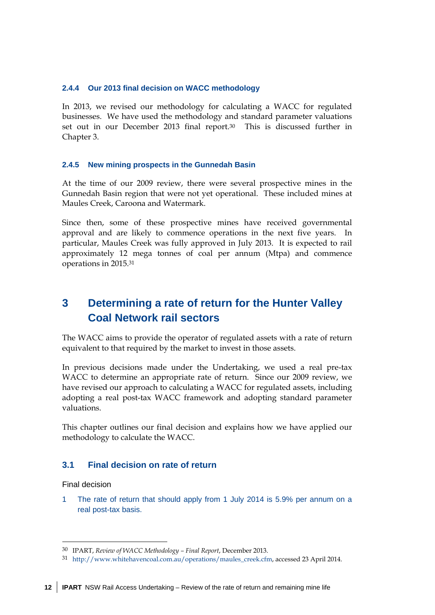#### **2.4.4 Our 2013 final decision on WACC methodology**

In 2013, we revised our methodology for calculating a WACC for regulated businesses. We have used the methodology and standard parameter valuations set out in our December 2013 final report.30 This is discussed further in Chapter 3.

#### **2.4.5 New mining prospects in the Gunnedah Basin**

At the time of our 2009 review, there were several prospective mines in the Gunnedah Basin region that were not yet operational. These included mines at Maules Creek, Caroona and Watermark.

Since then, some of these prospective mines have received governmental approval and are likely to commence operations in the next five years. In particular, Maules Creek was fully approved in July 2013. It is expected to rail approximately 12 mega tonnes of coal per annum (Mtpa) and commence operations in 2015.31

# **3 Determining a rate of return for the Hunter Valley Coal Network rail sectors**

The WACC aims to provide the operator of regulated assets with a rate of return equivalent to that required by the market to invest in those assets.

In previous decisions made under the Undertaking, we used a real pre-tax WACC to determine an appropriate rate of return. Since our 2009 review, we have revised our approach to calculating a WACC for regulated assets, including adopting a real post-tax WACC framework and adopting standard parameter valuations.

This chapter outlines our final decision and explains how we have applied our methodology to calculate the WACC.

## **3.1 Final decision on rate of return**

Final decision

<u>.</u>

1 The rate of return that should apply from 1 July 2014 is 5.9% per annum on a real post-tax basis.

<sup>30</sup> IPART, *Review of WACC Methodology – Final Report*, December 2013.

<sup>31</sup> http://www.whitehavencoal.com.au/operations/maules\_creek.cfm, accessed 23 April 2014.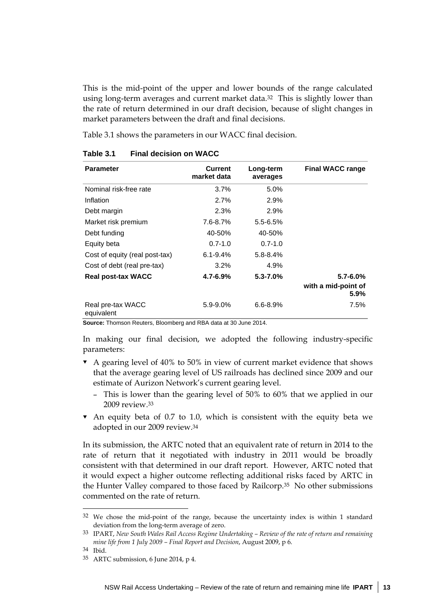This is the mid-point of the upper and lower bounds of the range calculated using long-term averages and current market data.32 This is slightly lower than the rate of return determined in our draft decision, because of slight changes in market parameters between the draft and final decisions.

Table 3.1 shows the parameters in our WACC final decision.

| <b>Parameter</b>                | <b>Current</b><br>market data | Long-term<br>averages | <b>Final WACC range</b>     |
|---------------------------------|-------------------------------|-----------------------|-----------------------------|
| Nominal risk-free rate          | 3.7%                          | 5.0%                  |                             |
| Inflation                       | 2.7%                          | 2.9%                  |                             |
| Debt margin                     | 2.3%                          | 2.9%                  |                             |
| Market risk premium             | 7.6-8.7%                      | $5.5 - 6.5%$          |                             |
| Debt funding                    | 40-50%                        | 40-50%                |                             |
| Equity beta                     | $0.7 - 1.0$                   | $0.7 - 1.0$           |                             |
| Cost of equity (real post-tax)  | $6.1 - 9.4\%$                 | $5.8 - 8.4%$          |                             |
| Cost of debt (real pre-tax)     | 3.2%                          | 4.9%                  |                             |
| <b>Real post-tax WACC</b>       | $4.7 - 6.9%$                  | $5.3 - 7.0%$          | $5.7 - 6.0\%$               |
|                                 |                               |                       | with a mid-point of<br>5.9% |
| Real pre-tax WACC<br>equivalent | $5.9 - 9.0\%$                 | $6.6 - 8.9%$          | 7.5%                        |

#### **Table 3.1 Final decision on WACC**

**Source:** Thomson Reuters, Bloomberg and RBA data at 30 June 2014.

In making our final decision, we adopted the following industry-specific parameters:

- A gearing level of 40% to 50% in view of current market evidence that shows that the average gearing level of US railroads has declined since 2009 and our estimate of Aurizon Network's current gearing level.
	- This is lower than the gearing level of 50% to 60% that we applied in our 2009 review.33
- $\bullet$  An equity beta of 0.7 to 1.0, which is consistent with the equity beta we adopted in our 2009 review.34

In its submission, the ARTC noted that an equivalent rate of return in 2014 to the rate of return that it negotiated with industry in 2011 would be broadly consistent with that determined in our draft report. However, ARTC noted that it would expect a higher outcome reflecting additional risks faced by ARTC in the Hunter Valley compared to those faced by Railcorp.35 No other submissions commented on the rate of return.

<sup>32</sup> We chose the mid-point of the range, because the uncertainty index is within 1 standard deviation from the long-term average of zero.

<sup>33</sup> IPART, *New South Wales Rail Access Regime Undertaking – Review of the rate of return and remaining mine life from 1 July 2009 – Final Report and Decision*, August 2009, p 6.

<sup>34</sup> Ibid.

<sup>35</sup> ARTC submission, 6 June 2014, p 4.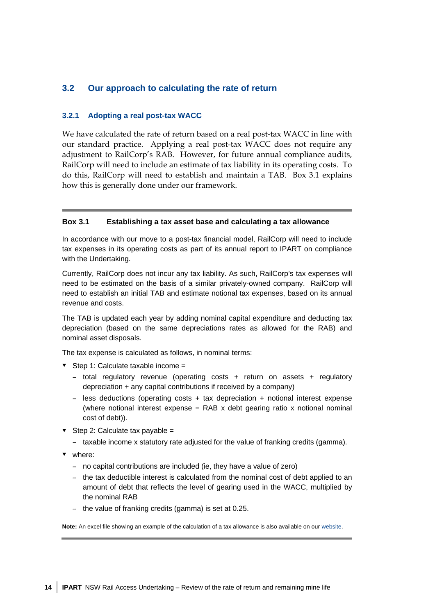## **3.2 Our approach to calculating the rate of return**

#### **3.2.1 Adopting a real post-tax WACC**

We have calculated the rate of return based on a real post-tax WACC in line with our standard practice. Applying a real post-tax WACC does not require any adjustment to RailCorp's RAB. However, for future annual compliance audits, RailCorp will need to include an estimate of tax liability in its operating costs. To do this, RailCorp will need to establish and maintain a TAB. Box 3.1 explains how this is generally done under our framework.

#### **Box 3.1 Establishing a tax asset base and calculating a tax allowance**

In accordance with our move to a post-tax financial model, RailCorp will need to include tax expenses in its operating costs as part of its annual report to IPART on compliance with the Undertaking.

Currently, RailCorp does not incur any tax liability. As such, RailCorp's tax expenses will need to be estimated on the basis of a similar privately-owned company. RailCorp will need to establish an initial TAB and estimate notional tax expenses, based on its annual revenue and costs.

The TAB is updated each year by adding nominal capital expenditure and deducting tax depreciation (based on the same depreciations rates as allowed for the RAB) and nominal asset disposals.

The tax expense is calculated as follows, in nominal terms:

- $\blacktriangleright$  Step 1: Calculate taxable income =
	- total regulatory revenue (operating costs + return on assets + regulatory depreciation + any capital contributions if received by a company)
	- less deductions (operating costs + tax depreciation + notional interest expense (where notional interest expense = RAB x debt gearing ratio x notional nominal cost of debt)).
- $\blacktriangleright$  Step 2: Calculate tax payable =
	- taxable income x statutory rate adjusted for the value of franking credits (gamma).
- v where:
	- no capital contributions are included (ie, they have a value of zero)
	- the tax deductible interest is calculated from the nominal cost of debt applied to an amount of debt that reflects the level of gearing used in the WACC, multiplied by the nominal RAB
	- the value of franking credits (gamma) is set at 0.25.

**Note:** An excel file showing an example of the calculation of a tax allowance is also available on our website.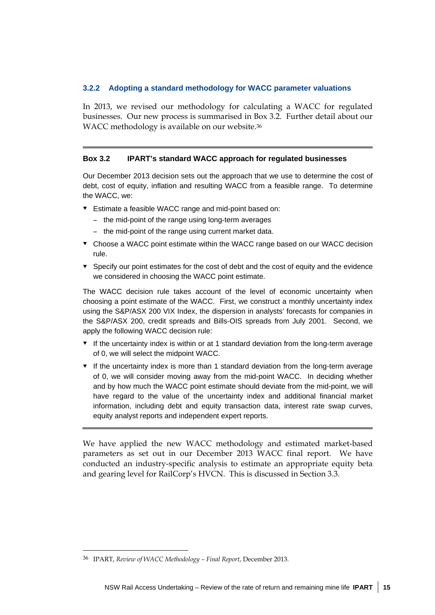#### **3.2.2 Adopting a standard methodology for WACC parameter valuations**

In 2013, we revised our methodology for calculating a WACC for regulated businesses. Our new process is summarised in Box 3.2. Further detail about our WACC methodology is available on our website.36

#### **Box 3.2 IPART's standard WACC approach for regulated businesses**

Our December 2013 decision sets out the approach that we use to determine the cost of debt, cost of equity, inflation and resulting WACC from a feasible range. To determine the WACC, we:

- Estimate a feasible WACC range and mid-point based on:
	- the mid-point of the range using long-term averages
	- the mid-point of the range using current market data.
- Choose a WACC point estimate within the WACC range based on our WACC decision rule.
- $\bullet$  Specify our point estimates for the cost of debt and the cost of equity and the evidence we considered in choosing the WACC point estimate.

The WACC decision rule takes account of the level of economic uncertainty when choosing a point estimate of the WACC. First, we construct a monthly uncertainty index using the S&P/ASX 200 VIX Index, the dispersion in analysts' forecasts for companies in the S&P/ASX 200, credit spreads and Bills-OIS spreads from July 2001. Second, we apply the following WACC decision rule:

- $\bullet$  If the uncertainty index is within or at 1 standard deviation from the long-term average of 0, we will select the midpoint WACC.
- $\bullet$  If the uncertainty index is more than 1 standard deviation from the long-term average of 0, we will consider moving away from the mid-point WACC. In deciding whether and by how much the WACC point estimate should deviate from the mid-point, we will have regard to the value of the uncertainty index and additional financial market information, including debt and equity transaction data, interest rate swap curves, equity analyst reports and independent expert reports.

We have applied the new WACC methodology and estimated market-based parameters as set out in our December 2013 WACC final report. We have conducted an industry-specific analysis to estimate an appropriate equity beta and gearing level for RailCorp's HVCN. This is discussed in Section 3.3.

 $\ddot{\phantom{a}}$ 

<sup>36</sup> IPART, *Review of WACC Methodology – Final Report*, December 2013.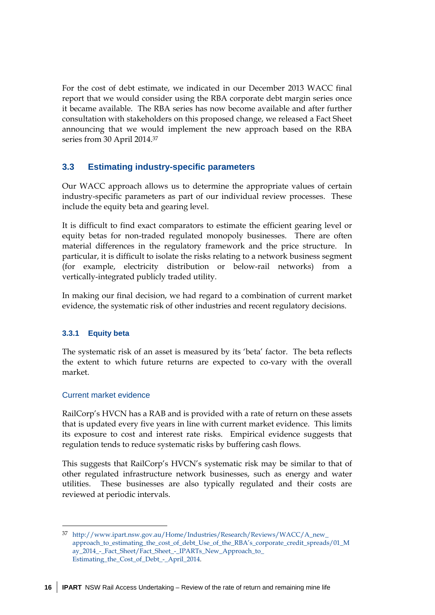For the cost of debt estimate, we indicated in our December 2013 WACC final report that we would consider using the RBA corporate debt margin series once it became available. The RBA series has now become available and after further consultation with stakeholders on this proposed change, we released a Fact Sheet announcing that we would implement the new approach based on the RBA series from 30 April 2014.37

## **3.3 Estimating industry-specific parameters**

Our WACC approach allows us to determine the appropriate values of certain industry-specific parameters as part of our individual review processes. These include the equity beta and gearing level.

It is difficult to find exact comparators to estimate the efficient gearing level or equity betas for non-traded regulated monopoly businesses. There are often material differences in the regulatory framework and the price structure. In particular, it is difficult to isolate the risks relating to a network business segment (for example, electricity distribution or below-rail networks) from a vertically-integrated publicly traded utility.

In making our final decision, we had regard to a combination of current market evidence, the systematic risk of other industries and recent regulatory decisions.

## **3.3.1 Equity beta**

The systematic risk of an asset is measured by its 'beta' factor. The beta reflects the extent to which future returns are expected to co-vary with the overall market.

## Current market evidence

<u>.</u>

RailCorp's HVCN has a RAB and is provided with a rate of return on these assets that is updated every five years in line with current market evidence. This limits its exposure to cost and interest rate risks. Empirical evidence suggests that regulation tends to reduce systematic risks by buffering cash flows.

This suggests that RailCorp's HVCN's systematic risk may be similar to that of other regulated infrastructure network businesses, such as energy and water utilities. These businesses are also typically regulated and their costs are reviewed at periodic intervals.

<sup>37</sup> http://www.ipart.nsw.gov.au/Home/Industries/Research/Reviews/WACC/A\_new\_ approach\_to\_estimating\_the\_cost\_of\_debt\_Use\_of\_the\_RBA's\_corporate\_credit\_spreads/01\_M ay\_2014\_-\_Fact\_Sheet/Fact\_Sheet\_-\_IPARTs\_New\_Approach\_to\_ Estimating\_the\_Cost\_of\_Debt\_-\_April\_2014.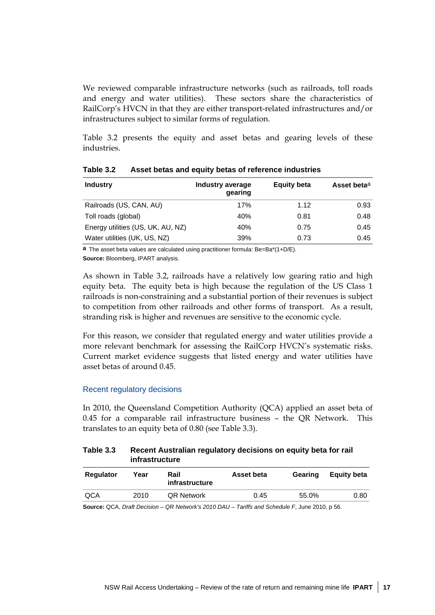We reviewed comparable infrastructure networks (such as railroads, toll roads and energy and water utilities). These sectors share the characteristics of RailCorp's HVCN in that they are either transport-related infrastructures and/or infrastructures subject to similar forms of regulation.

Table 3.2 presents the equity and asset betas and gearing levels of these industries.

| <b>Industry</b>                   | Industry average<br>gearing | <b>Equity beta</b> | Asset beta <sup>a</sup> |
|-----------------------------------|-----------------------------|--------------------|-------------------------|
| Railroads (US, CAN, AU)           | 17%                         | 1.12               | 0.93                    |
| Toll roads (global)               | 40%                         | 0.81               | 0.48                    |
| Energy utilities (US, UK, AU, NZ) | 40%                         | 0.75               | 0.45                    |
| Water utilities (UK, US, NZ)      | 39%                         | 0.73               | 0.45                    |

**Table 3.2 Asset betas and equity betas of reference industries** 

**a** The asset beta values are calculated using practitioner formula: Be=Ba\*(1+D/E). **Source:** Bloomberg, IPART analysis.

As shown in Table 3.2, railroads have a relatively low gearing ratio and high equity beta. The equity beta is high because the regulation of the US Class 1 railroads is non-constraining and a substantial portion of their revenues is subject to competition from other railroads and other forms of transport. As a result, stranding risk is higher and revenues are sensitive to the economic cycle.

For this reason, we consider that regulated energy and water utilities provide a more relevant benchmark for assessing the RailCorp HVCN's systematic risks. Current market evidence suggests that listed energy and water utilities have asset betas of around 0.45.

#### Recent regulatory decisions

In 2010, the Queensland Competition Authority (QCA) applied an asset beta of 0.45 for a comparable rail infrastructure business – the QR Network. This translates to an equity beta of 0.80 (see Table 3.3).

#### **Table 3.3 Recent Australian regulatory decisions on equity beta for rail infrastructure**

| <b>Regulator</b> | Year | Rail<br>infrastructure | Asset beta | Gearing | <b>Equity beta</b> |
|------------------|------|------------------------|------------|---------|--------------------|
| QCA              | 2010 | <b>QR Network</b>      | 0.45       | 55.0%   | 0.80               |
|                  |      |                        |            |         |                    |

**Source:** QCA, *Draft Decision – QR Network's 2010 DAU – Tariffs and Schedule F*, June 2010, p 56.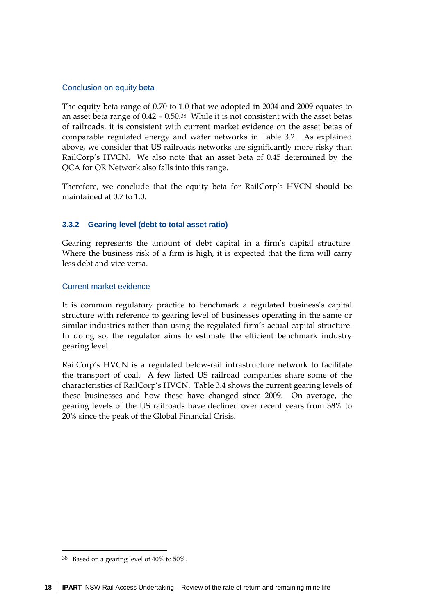## Conclusion on equity beta

The equity beta range of 0.70 to 1.0 that we adopted in 2004 and 2009 equates to an asset beta range of 0.42 – 0.50.38 While it is not consistent with the asset betas of railroads, it is consistent with current market evidence on the asset betas of comparable regulated energy and water networks in Table 3.2. As explained above, we consider that US railroads networks are significantly more risky than RailCorp's HVCN. We also note that an asset beta of 0.45 determined by the QCA for QR Network also falls into this range.

Therefore, we conclude that the equity beta for RailCorp's HVCN should be maintained at 0.7 to 1.0.

## **3.3.2 Gearing level (debt to total asset ratio)**

Gearing represents the amount of debt capital in a firm's capital structure. Where the business risk of a firm is high, it is expected that the firm will carry less debt and vice versa.

## Current market evidence

It is common regulatory practice to benchmark a regulated business's capital structure with reference to gearing level of businesses operating in the same or similar industries rather than using the regulated firm's actual capital structure. In doing so, the regulator aims to estimate the efficient benchmark industry gearing level.

RailCorp's HVCN is a regulated below-rail infrastructure network to facilitate the transport of coal. A few listed US railroad companies share some of the characteristics of RailCorp's HVCN. Table 3.4 shows the current gearing levels of these businesses and how these have changed since 2009. On average, the gearing levels of the US railroads have declined over recent years from 38% to 20% since the peak of the Global Financial Crisis.

-

<sup>38</sup> Based on a gearing level of 40% to 50%.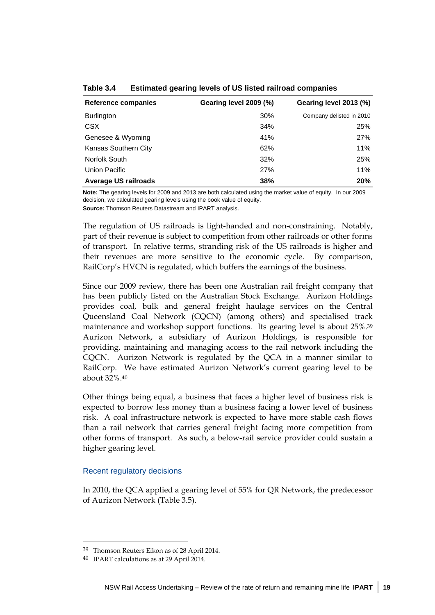| Reference companies         | Gearing level 2009 (%) | Gearing level 2013 (%)   |
|-----------------------------|------------------------|--------------------------|
| <b>Burlington</b>           | 30%                    | Company delisted in 2010 |
| <b>CSX</b>                  | 34%                    | 25%                      |
| Genesee & Wyoming           | 41%                    | 27%                      |
| Kansas Southern City        | 62%                    | 11%                      |
| Norfolk South               | 32%                    | 25%                      |
| Union Pacific               | 27%                    | 11%                      |
| <b>Average US railroads</b> | 38%                    | 20%                      |

**Table 3.4 Estimated gearing levels of US listed railroad companies** 

**Note:** The gearing levels for 2009 and 2013 are both calculated using the market value of equity. In our 2009 decision, we calculated gearing levels using the book value of equity.

**Source:** Thomson Reuters Datastream and IPART analysis.

The regulation of US railroads is light-handed and non-constraining. Notably, part of their revenue is subject to competition from other railroads or other forms of transport. In relative terms, stranding risk of the US railroads is higher and their revenues are more sensitive to the economic cycle. By comparison, RailCorp's HVCN is regulated, which buffers the earnings of the business.

Since our 2009 review, there has been one Australian rail freight company that has been publicly listed on the Australian Stock Exchange. Aurizon Holdings provides coal, bulk and general freight haulage services on the Central Queensland Coal Network (CQCN) (among others) and specialised track maintenance and workshop support functions. Its gearing level is about 25%.39 Aurizon Network, a subsidiary of Aurizon Holdings, is responsible for providing, maintaining and managing access to the rail network including the CQCN. Aurizon Network is regulated by the QCA in a manner similar to RailCorp. We have estimated Aurizon Network's current gearing level to be about 32%.40

Other things being equal, a business that faces a higher level of business risk is expected to borrow less money than a business facing a lower level of business risk. A coal infrastructure network is expected to have more stable cash flows than a rail network that carries general freight facing more competition from other forms of transport. As such, a below-rail service provider could sustain a higher gearing level.

## Recent regulatory decisions

 $\overline{a}$ 

In 2010, the QCA applied a gearing level of 55% for QR Network, the predecessor of Aurizon Network (Table 3.5).

<sup>39</sup> Thomson Reuters Eikon as of 28 April 2014.

<sup>40</sup> IPART calculations as at 29 April 2014.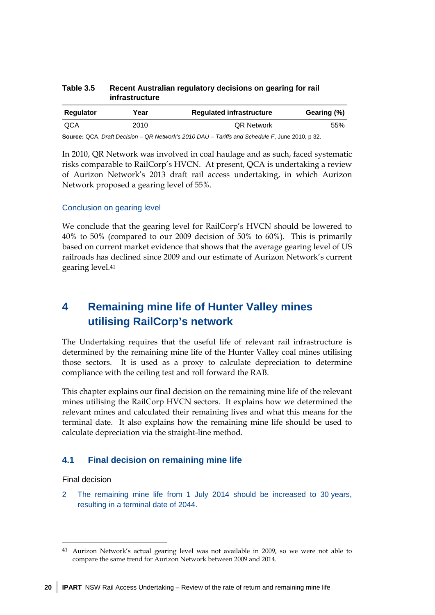| Year | <b>Regulated infrastructure</b> | Gearing (%) |  |
|------|---------------------------------|-------------|--|
| 2010 | <b>QR Network</b>               | 55%         |  |
|      |                                 |             |  |

#### **Table 3.5 Recent Australian regulatory decisions on gearing for rail infrastructure**

**Source:** QCA, *Draft Decision – QR Network's 2010 DAU – Tariffs and Schedule F*, June 2010, p 32.

In 2010, QR Network was involved in coal haulage and as such, faced systematic risks comparable to RailCorp's HVCN. At present, QCA is undertaking a review of Aurizon Network's 2013 draft rail access undertaking, in which Aurizon Network proposed a gearing level of 55%.

#### Conclusion on gearing level

We conclude that the gearing level for RailCorp's HVCN should be lowered to 40% to 50% (compared to our 2009 decision of 50% to 60%). This is primarily based on current market evidence that shows that the average gearing level of US railroads has declined since 2009 and our estimate of Aurizon Network's current gearing level.41

# **4 Remaining mine life of Hunter Valley mines utilising RailCorp's network**

The Undertaking requires that the useful life of relevant rail infrastructure is determined by the remaining mine life of the Hunter Valley coal mines utilising those sectors. It is used as a proxy to calculate depreciation to determine compliance with the ceiling test and roll forward the RAB.

This chapter explains our final decision on the remaining mine life of the relevant mines utilising the RailCorp HVCN sectors. It explains how we determined the relevant mines and calculated their remaining lives and what this means for the terminal date. It also explains how the remaining mine life should be used to calculate depreciation via the straight-line method.

## **4.1 Final decision on remaining mine life**

Final decision

<u>.</u>

2 The remaining mine life from 1 July 2014 should be increased to 30 years, resulting in a terminal date of 2044.

<sup>41</sup> Aurizon Network's actual gearing level was not available in 2009, so we were not able to compare the same trend for Aurizon Network between 2009 and 2014.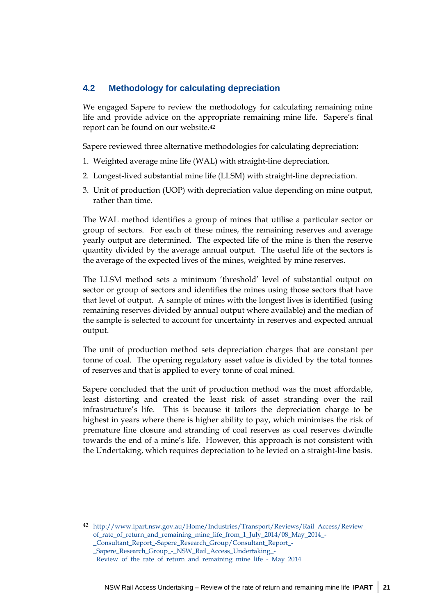## **4.2 Methodology for calculating depreciation**

We engaged Sapere to review the methodology for calculating remaining mine life and provide advice on the appropriate remaining mine life. Sapere's final report can be found on our website.42

Sapere reviewed three alternative methodologies for calculating depreciation:

- 1. Weighted average mine life (WAL) with straight-line depreciation.
- 2. Longest-lived substantial mine life (LLSM) with straight-line depreciation.
- 3. Unit of production (UOP) with depreciation value depending on mine output, rather than time.

The WAL method identifies a group of mines that utilise a particular sector or group of sectors. For each of these mines, the remaining reserves and average yearly output are determined. The expected life of the mine is then the reserve quantity divided by the average annual output. The useful life of the sectors is the average of the expected lives of the mines, weighted by mine reserves.

The LLSM method sets a minimum 'threshold' level of substantial output on sector or group of sectors and identifies the mines using those sectors that have that level of output. A sample of mines with the longest lives is identified (using remaining reserves divided by annual output where available) and the median of the sample is selected to account for uncertainty in reserves and expected annual output.

The unit of production method sets depreciation charges that are constant per tonne of coal. The opening regulatory asset value is divided by the total tonnes of reserves and that is applied to every tonne of coal mined.

Sapere concluded that the unit of production method was the most affordable, least distorting and created the least risk of asset stranding over the rail infrastructure's life. This is because it tailors the depreciation charge to be highest in years where there is higher ability to pay, which minimises the risk of premature line closure and stranding of coal reserves as coal reserves dwindle towards the end of a mine's life. However, this approach is not consistent with the Undertaking, which requires depreciation to be levied on a straight-line basis.

<sup>42</sup> http://www.ipart.nsw.gov.au/Home/Industries/Transport/Reviews/Rail\_Access/Review\_ of rate of return and remaining mine life from 1 July 2014/08 May 2014 -

\_Consultant\_Report\_-Sapere\_Research\_Group/Consultant\_Report\_- \_Sapere\_Research\_Group\_-\_NSW\_Rail\_Access\_Undertaking\_-

\_Review\_of\_the\_rate\_of\_return\_and\_remaining\_mine\_life\_-\_May\_2014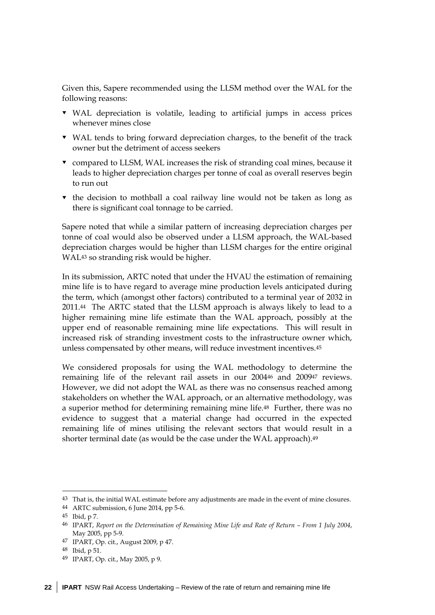Given this, Sapere recommended using the LLSM method over the WAL for the following reasons:

- WAL depreciation is volatile, leading to artificial jumps in access prices whenever mines close
- WAL tends to bring forward depreciation charges, to the benefit of the track owner but the detriment of access seekers
- compared to LLSM, WAL increases the risk of stranding coal mines, because it leads to higher depreciation charges per tonne of coal as overall reserves begin to run out
- $\bullet$  the decision to mothball a coal railway line would not be taken as long as there is significant coal tonnage to be carried.

Sapere noted that while a similar pattern of increasing depreciation charges per tonne of coal would also be observed under a LLSM approach, the WAL-based depreciation charges would be higher than LLSM charges for the entire original WAL43 so stranding risk would be higher.

In its submission, ARTC noted that under the HVAU the estimation of remaining mine life is to have regard to average mine production levels anticipated during the term, which (amongst other factors) contributed to a terminal year of 2032 in 2011.44 The ARTC stated that the LLSM approach is always likely to lead to a higher remaining mine life estimate than the WAL approach, possibly at the upper end of reasonable remaining mine life expectations. This will result in increased risk of stranding investment costs to the infrastructure owner which, unless compensated by other means, will reduce investment incentives.45

We considered proposals for using the WAL methodology to determine the remaining life of the relevant rail assets in our 200446 and 200947 reviews. However, we did not adopt the WAL as there was no consensus reached among stakeholders on whether the WAL approach, or an alternative methodology, was a superior method for determining remaining mine life.48 Further, there was no evidence to suggest that a material change had occurred in the expected remaining life of mines utilising the relevant sectors that would result in a shorter terminal date (as would be the case under the WAL approach).<sup>49</sup>

-

<sup>43</sup> That is, the initial WAL estimate before any adjustments are made in the event of mine closures.

<sup>44</sup> ARTC submission, 6 June 2014, pp 5-6.

<sup>45</sup> Ibid, p 7.

<sup>46</sup> IPART, *Report on the Determination of Remaining Mine Life and Rate of Return – From 1 July 2004*, May 2005, pp 5-9.

<sup>47</sup> IPART, Op. cit., August 2009, p 47.

<sup>48</sup> Ibid, p 51.

<sup>49</sup> IPART, Op. cit., May 2005, p 9.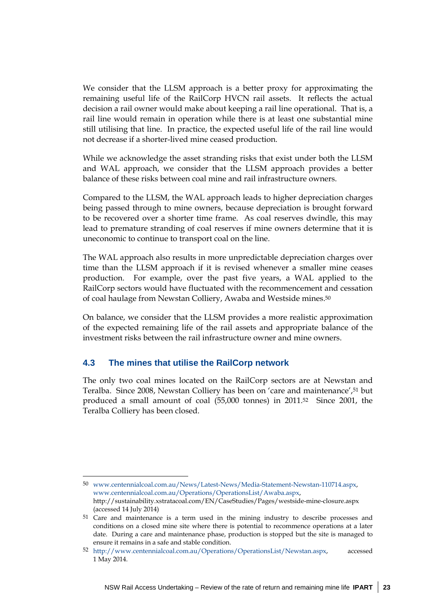We consider that the LLSM approach is a better proxy for approximating the remaining useful life of the RailCorp HVCN rail assets. It reflects the actual decision a rail owner would make about keeping a rail line operational. That is, a rail line would remain in operation while there is at least one substantial mine still utilising that line. In practice, the expected useful life of the rail line would not decrease if a shorter-lived mine ceased production.

While we acknowledge the asset stranding risks that exist under both the LLSM and WAL approach, we consider that the LLSM approach provides a better balance of these risks between coal mine and rail infrastructure owners.

Compared to the LLSM, the WAL approach leads to higher depreciation charges being passed through to mine owners, because depreciation is brought forward to be recovered over a shorter time frame. As coal reserves dwindle, this may lead to premature stranding of coal reserves if mine owners determine that it is uneconomic to continue to transport coal on the line.

The WAL approach also results in more unpredictable depreciation charges over time than the LLSM approach if it is revised whenever a smaller mine ceases production. For example, over the past five years, a WAL applied to the RailCorp sectors would have fluctuated with the recommencement and cessation of coal haulage from Newstan Colliery, Awaba and Westside mines.50

On balance, we consider that the LLSM provides a more realistic approximation of the expected remaining life of the rail assets and appropriate balance of the investment risks between the rail infrastructure owner and mine owners.

## **4.3 The mines that utilise the RailCorp network**

 $\overline{a}$ 

The only two coal mines located on the RailCorp sectors are at Newstan and Teralba. Since 2008, Newstan Colliery has been on 'care and maintenance',51 but produced a small amount of coal (55,000 tonnes) in 2011.52 Since 2001, the Teralba Colliery has been closed.

<sup>50</sup> www.centennialcoal.com.au/News/Latest-News/Media-Statement-Newstan-110714.aspx, www.centennialcoal.com.au/Operations/OperationsList/Awaba.aspx, http://sustainability.xstratacoal.com/EN/CaseStudies/Pages/westside-mine-closure.aspx (accessed 14 July 2014)

<sup>51</sup> Care and maintenance is a term used in the mining industry to describe processes and conditions on a closed mine site where there is potential to recommence operations at a later date. During a care and maintenance phase, production is stopped but the site is managed to ensure it remains in a safe and stable condition.

<sup>52</sup> http://www.centennialcoal.com.au/Operations/OperationsList/Newstan.aspx, accessed 1 May 2014.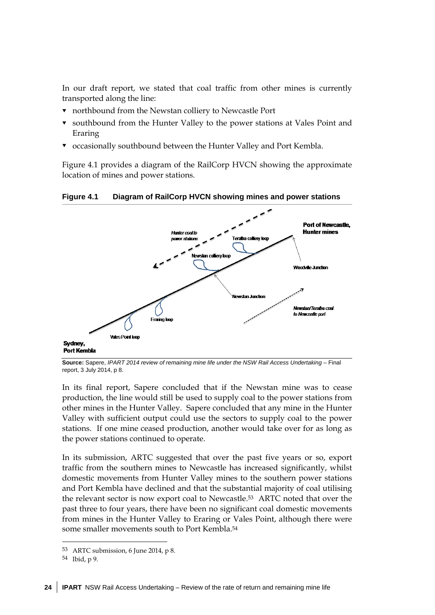In our draft report, we stated that coal traffic from other mines is currently transported along the line:

- northbound from the Newstan colliery to Newcastle Port
- southbound from the Hunter Valley to the power stations at Vales Point and Eraring
- occasionally southbound between the Hunter Valley and Port Kembla.

Figure 4.1 provides a diagram of the RailCorp HVCN showing the approximate location of mines and power stations.

**Figure 4.1 Diagram of RailCorp HVCN showing mines and power stations** 



**Source:** Sapere, *IPART 2014 review of remaining mine life under the NSW Rail Access Undertaking* – Final report, 3 July 2014, p 8.

In its final report, Sapere concluded that if the Newstan mine was to cease production, the line would still be used to supply coal to the power stations from other mines in the Hunter Valley. Sapere concluded that any mine in the Hunter Valley with sufficient output could use the sectors to supply coal to the power stations. If one mine ceased production, another would take over for as long as the power stations continued to operate.

In its submission, ARTC suggested that over the past five years or so, export traffic from the southern mines to Newcastle has increased significantly, whilst domestic movements from Hunter Valley mines to the southern power stations and Port Kembla have declined and that the substantial majority of coal utilising the relevant sector is now export coal to Newcastle.53 ARTC noted that over the past three to four years, there have been no significant coal domestic movements from mines in the Hunter Valley to Eraring or Vales Point, although there were some smaller movements south to Port Kembla.54

**.** 

<sup>53</sup> ARTC submission, 6 June 2014, p 8.

<sup>54</sup> Ibid, p 9.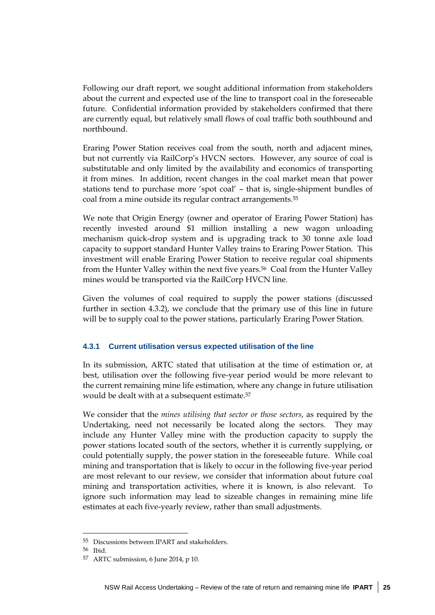Following our draft report, we sought additional information from stakeholders about the current and expected use of the line to transport coal in the foreseeable future. Confidential information provided by stakeholders confirmed that there are currently equal, but relatively small flows of coal traffic both southbound and northbound.

Eraring Power Station receives coal from the south, north and adjacent mines, but not currently via RailCorp's HVCN sectors. However, any source of coal is substitutable and only limited by the availability and economics of transporting it from mines. In addition, recent changes in the coal market mean that power stations tend to purchase more 'spot coal' – that is, single-shipment bundles of coal from a mine outside its regular contract arrangements.55

We note that Origin Energy (owner and operator of Eraring Power Station) has recently invested around \$1 million installing a new wagon unloading mechanism quick-drop system and is upgrading track to 30 tonne axle load capacity to support standard Hunter Valley trains to Eraring Power Station. This investment will enable Eraring Power Station to receive regular coal shipments from the Hunter Valley within the next five years.56 Coal from the Hunter Valley mines would be transported via the RailCorp HVCN line.

Given the volumes of coal required to supply the power stations (discussed further in section 4.3.2), we conclude that the primary use of this line in future will be to supply coal to the power stations, particularly Eraring Power Station.

## **4.3.1 Current utilisation versus expected utilisation of the line**

In its submission, ARTC stated that utilisation at the time of estimation or, at best, utilisation over the following five-year period would be more relevant to the current remaining mine life estimation, where any change in future utilisation would be dealt with at a subsequent estimate.57

We consider that the *mines utilising that sector or those sectors*, as required by the Undertaking, need not necessarily be located along the sectors. They may include any Hunter Valley mine with the production capacity to supply the power stations located south of the sectors, whether it is currently supplying, or could potentially supply, the power station in the foreseeable future. While coal mining and transportation that is likely to occur in the following five-year period are most relevant to our review, we consider that information about future coal mining and transportation activities, where it is known, is also relevant. To ignore such information may lead to sizeable changes in remaining mine life estimates at each five-yearly review, rather than small adjustments.

<sup>55</sup> Discussions between IPART and stakeholders.

<sup>56</sup> Ibid.

<sup>57</sup> ARTC submission, 6 June 2014, p 10.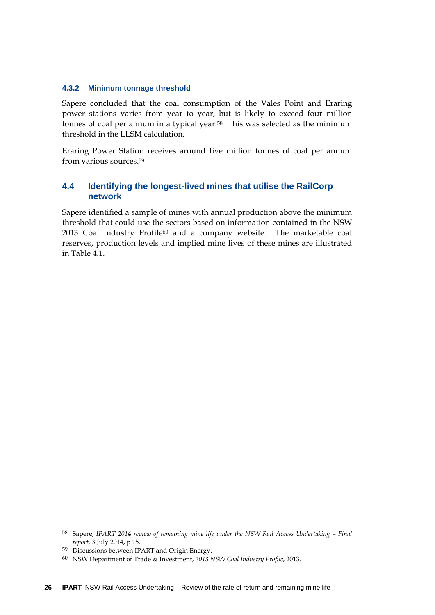#### **4.3.2 Minimum tonnage threshold**

Sapere concluded that the coal consumption of the Vales Point and Eraring power stations varies from year to year, but is likely to exceed four million tonnes of coal per annum in a typical year.58 This was selected as the minimum threshold in the LLSM calculation.

Eraring Power Station receives around five million tonnes of coal per annum from various sources.59

## **4.4 Identifying the longest-lived mines that utilise the RailCorp network**

Sapere identified a sample of mines with annual production above the minimum threshold that could use the sectors based on information contained in the NSW 2013 Coal Industry Profile60 and a company website. The marketable coal reserves, production levels and implied mine lives of these mines are illustrated in Table 4.1.

<u>.</u>

<sup>58</sup> Sapere, *IPART 2014 review of remaining mine life under the NSW Rail Access Undertaking – Final report,* 3 July 2014, p 15.

<sup>59</sup> Discussions between IPART and Origin Energy.

<sup>60</sup> NSW Department of Trade & Investment, *2013 NSW Coal Industry Profile*, 2013.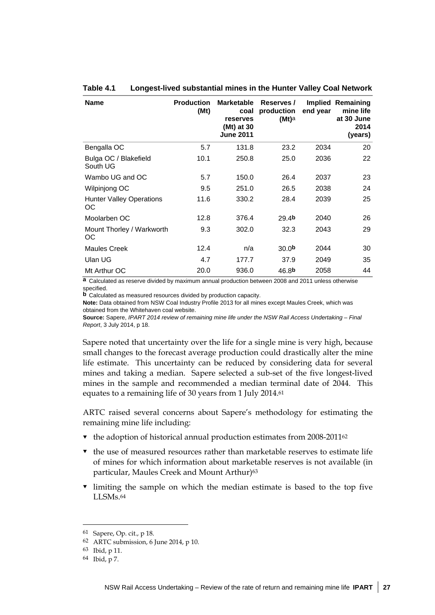| <b>Name</b>                           | <b>Production</b><br>(Mt) | <b>Marketable</b><br>coal<br>reserves<br>(Mt) at 30<br><b>June 2011</b> | Reserves /<br>production<br>$(Mt)$ a | end year | Implied Remaining<br>mine life<br>at 30 June<br>2014<br>(years) |
|---------------------------------------|---------------------------|-------------------------------------------------------------------------|--------------------------------------|----------|-----------------------------------------------------------------|
| Bengalla OC                           | 5.7                       | 131.8                                                                   | 23.2                                 | 2034     | 20                                                              |
| Bulga OC / Blakefield<br>South UG     | 10.1                      | 250.8                                                                   | 25.0                                 | 2036     | 22                                                              |
| Wambo UG and OC                       | 5.7                       | 150.0                                                                   | 26.4                                 | 2037     | 23                                                              |
| Wilpinjong OC                         | 9.5                       | 251.0                                                                   | 26.5                                 | 2038     | 24                                                              |
| <b>Hunter Valley Operations</b><br>OС | 11.6                      | 330.2                                                                   | 28.4                                 | 2039     | 25                                                              |
| Moolarben OC                          | 12.8                      | 376.4                                                                   | 29.4b                                | 2040     | 26                                                              |
| Mount Thorley / Warkworth<br>OС       | 9.3                       | 302.0                                                                   | 32.3                                 | 2043     | 29                                                              |
| <b>Maules Creek</b>                   | 12.4                      | n/a                                                                     | 30.0 <sub>b</sub>                    | 2044     | 30                                                              |
| Ulan UG                               | 4.7                       | 177.7                                                                   | 37.9                                 | 2049     | 35                                                              |
| Mt Arthur OC                          | 20.0                      | 936.0                                                                   | 46.8b                                | 2058     | 44                                                              |

#### **Table 4.1 Longest-lived substantial mines in the Hunter Valley Coal Network**

**a** Calculated as reserve divided by maximum annual production between 2008 and 2011 unless otherwise specified.

**b** Calculated as measured resources divided by production capacity.

**Note:** Data obtained from NSW Coal Industry Profile 2013 for all mines except Maules Creek, which was obtained from the Whitehaven coal website.

**Source:** Sapere, *IPART 2014 review of remaining mine life under the NSW Rail Access Undertaking – Final Report*, 3 July 2014, p 18.

Sapere noted that uncertainty over the life for a single mine is very high, because small changes to the forecast average production could drastically alter the mine life estimate. This uncertainty can be reduced by considering data for several mines and taking a median. Sapere selected a sub-set of the five longest-lived mines in the sample and recommended a median terminal date of 2044. This equates to a remaining life of 30 years from 1 July 2014.61

ARTC raised several concerns about Sapere's methodology for estimating the remaining mine life including:

- $\bullet$  the adoption of historical annual production estimates from 2008-201162
- $\bullet$  the use of measured resources rather than marketable reserves to estimate life of mines for which information about marketable reserves is not available (in particular, Maules Creek and Mount Arthur)<sup>63</sup>
- limiting the sample on which the median estimate is based to the top five LLSMs.64

<sup>61</sup> Sapere, Op. cit., p 18.

<sup>62</sup> ARTC submission, 6 June 2014, p 10.

<sup>63</sup> Ibid, p 11.

<sup>64</sup> Ibid, p 7.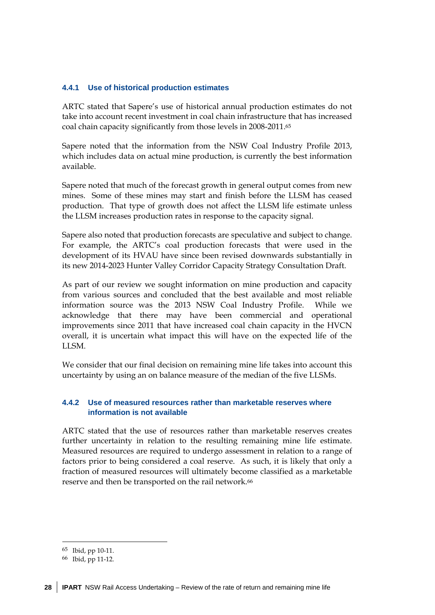## **4.4.1 Use of historical production estimates**

ARTC stated that Sapere's use of historical annual production estimates do not take into account recent investment in coal chain infrastructure that has increased coal chain capacity significantly from those levels in 2008-2011.65

Sapere noted that the information from the NSW Coal Industry Profile 2013, which includes data on actual mine production, is currently the best information available.

Sapere noted that much of the forecast growth in general output comes from new mines. Some of these mines may start and finish before the LLSM has ceased production. That type of growth does not affect the LLSM life estimate unless the LLSM increases production rates in response to the capacity signal.

Sapere also noted that production forecasts are speculative and subject to change. For example, the ARTC's coal production forecasts that were used in the development of its HVAU have since been revised downwards substantially in its new 2014-2023 Hunter Valley Corridor Capacity Strategy Consultation Draft.

As part of our review we sought information on mine production and capacity from various sources and concluded that the best available and most reliable information source was the 2013 NSW Coal Industry Profile. While we acknowledge that there may have been commercial and operational improvements since 2011 that have increased coal chain capacity in the HVCN overall, it is uncertain what impact this will have on the expected life of the LLSM.

We consider that our final decision on remaining mine life takes into account this uncertainty by using an on balance measure of the median of the five LLSMs.

## **4.4.2 Use of measured resources rather than marketable reserves where information is not available**

ARTC stated that the use of resources rather than marketable reserves creates further uncertainty in relation to the resulting remaining mine life estimate. Measured resources are required to undergo assessment in relation to a range of factors prior to being considered a coal reserve. As such, it is likely that only a fraction of measured resources will ultimately become classified as a marketable reserve and then be transported on the rail network.<sup>66</sup>

<sup>&</sup>lt;u>.</u> 65 Ibid, pp 10-11.

<sup>66</sup> Ibid, pp 11-12.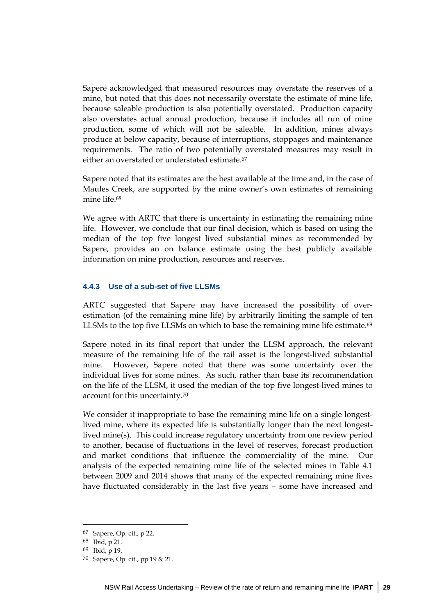Sapere acknowledged that measured resources may overstate the reserves of a mine, but noted that this does not necessarily overstate the estimate of mine life, because saleable production is also potentially overstated. Production capacity also overstates actual annual production, because it includes all run of mine production, some of which will not be saleable. In addition, mines always produce at below capacity, because of interruptions, stoppages and maintenance requirements. The ratio of two potentially overstated measures may result in either an overstated or understated estimate.67

Sapere noted that its estimates are the best available at the time and, in the case of Maules Creek, are supported by the mine owner's own estimates of remaining mine life.68

We agree with ARTC that there is uncertainty in estimating the remaining mine life. However, we conclude that our final decision, which is based on using the median of the top five longest lived substantial mines as recommended by Sapere, provides an on balance estimate using the best publicly available information on mine production, resources and reserves.

#### **4.4.3 Use of a sub-set of five LLSMs**

ARTC suggested that Sapere may have increased the possibility of overestimation (of the remaining mine life) by arbitrarily limiting the sample of ten LLSMs to the top five LLSMs on which to base the remaining mine life estimate.<sup>69</sup>

Sapere noted in its final report that under the LLSM approach, the relevant measure of the remaining life of the rail asset is the longest-lived substantial mine. However, Sapere noted that there was some uncertainty over the individual lives for some mines. As such, rather than base its recommendation on the life of the LLSM, it used the median of the top five longest-lived mines to account for this uncertainty.70

We consider it inappropriate to base the remaining mine life on a single longestlived mine, where its expected life is substantially longer than the next longestlived mine(s). This could increase regulatory uncertainty from one review period to another, because of fluctuations in the level of reserves, forecast production and market conditions that influence the commerciality of the mine. Our analysis of the expected remaining mine life of the selected mines in Table 4.1 between 2009 and 2014 shows that many of the expected remaining mine lives have fluctuated considerably in the last five years – some have increased and

<sup>67</sup> Sapere, Op. cit., p 22.

<sup>68</sup> Ibid, p 21.

<sup>69</sup> Ibid, p 19.

<sup>70</sup> Sapere, Op. cit., pp 19 & 21.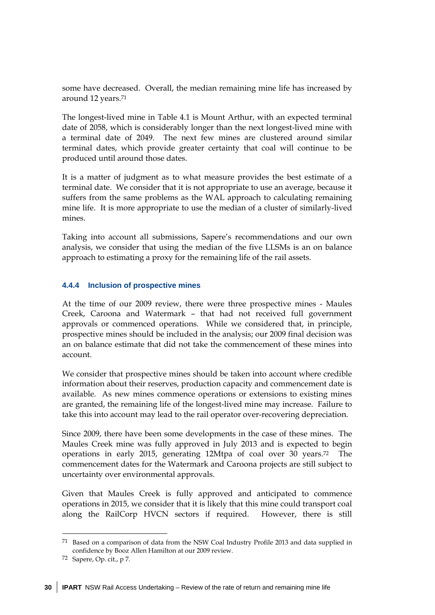some have decreased. Overall, the median remaining mine life has increased by around 12 years.71

The longest-lived mine in Table 4.1 is Mount Arthur, with an expected terminal date of 2058, which is considerably longer than the next longest-lived mine with a terminal date of 2049. The next few mines are clustered around similar terminal dates, which provide greater certainty that coal will continue to be produced until around those dates.

It is a matter of judgment as to what measure provides the best estimate of a terminal date. We consider that it is not appropriate to use an average, because it suffers from the same problems as the WAL approach to calculating remaining mine life. It is more appropriate to use the median of a cluster of similarly-lived mines.

Taking into account all submissions, Sapere's recommendations and our own analysis, we consider that using the median of the five LLSMs is an on balance approach to estimating a proxy for the remaining life of the rail assets.

## **4.4.4 Inclusion of prospective mines**

At the time of our 2009 review, there were three prospective mines - Maules Creek, Caroona and Watermark – that had not received full government approvals or commenced operations. While we considered that, in principle, prospective mines should be included in the analysis; our 2009 final decision was an on balance estimate that did not take the commencement of these mines into account.

We consider that prospective mines should be taken into account where credible information about their reserves, production capacity and commencement date is available. As new mines commence operations or extensions to existing mines are granted, the remaining life of the longest-lived mine may increase. Failure to take this into account may lead to the rail operator over-recovering depreciation.

Since 2009, there have been some developments in the case of these mines. The Maules Creek mine was fully approved in July 2013 and is expected to begin operations in early 2015, generating 12Mtpa of coal over 30 years.72 The commencement dates for the Watermark and Caroona projects are still subject to uncertainty over environmental approvals.

Given that Maules Creek is fully approved and anticipated to commence operations in 2015, we consider that it is likely that this mine could transport coal along the RailCorp HVCN sectors if required. However, there is still

<u>.</u>

<sup>71</sup> Based on a comparison of data from the NSW Coal Industry Profile 2013 and data supplied in confidence by Booz Allen Hamilton at our 2009 review.

<sup>72</sup> Sapere, Op. cit., p 7.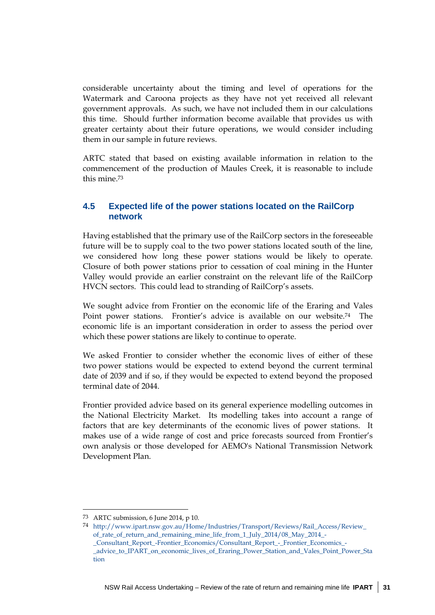considerable uncertainty about the timing and level of operations for the Watermark and Caroona projects as they have not yet received all relevant government approvals. As such, we have not included them in our calculations this time. Should further information become available that provides us with greater certainty about their future operations, we would consider including them in our sample in future reviews.

ARTC stated that based on existing available information in relation to the commencement of the production of Maules Creek, it is reasonable to include this mine.73

## **4.5 Expected life of the power stations located on the RailCorp network**

Having established that the primary use of the RailCorp sectors in the foreseeable future will be to supply coal to the two power stations located south of the line, we considered how long these power stations would be likely to operate. Closure of both power stations prior to cessation of coal mining in the Hunter Valley would provide an earlier constraint on the relevant life of the RailCorp HVCN sectors. This could lead to stranding of RailCorp's assets.

We sought advice from Frontier on the economic life of the Eraring and Vales Point power stations. Frontier's advice is available on our website.74 The economic life is an important consideration in order to assess the period over which these power stations are likely to continue to operate.

We asked Frontier to consider whether the economic lives of either of these two power stations would be expected to extend beyond the current terminal date of 2039 and if so, if they would be expected to extend beyond the proposed terminal date of 2044.

Frontier provided advice based on its general experience modelling outcomes in the National Electricity Market. Its modelling takes into account a range of factors that are key determinants of the economic lives of power stations. It makes use of a wide range of cost and price forecasts sourced from Frontier's own analysis or those developed for AEMO's National Transmission Network Development Plan.

<sup>73</sup> ARTC submission, 6 June 2014, p 10.

<sup>74</sup> http://www.ipart.nsw.gov.au/Home/Industries/Transport/Reviews/Rail\_Access/Review\_ of rate of return and remaining mine life from 1 July 2014/08 May 2014 -\_Consultant\_Report\_-Frontier\_Economics/Consultant\_Report\_-\_Frontier\_Economics\_- \_advice\_to\_IPART\_on\_economic\_lives\_of\_Eraring\_Power\_Station\_and\_Vales\_Point\_Power\_Sta tion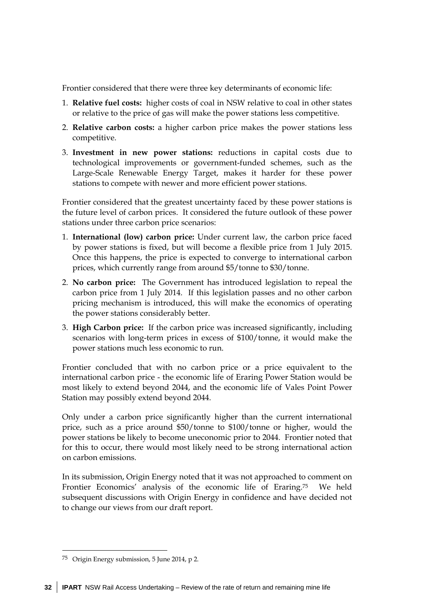Frontier considered that there were three key determinants of economic life:

- 1. **Relative fuel costs:** higher costs of coal in NSW relative to coal in other states or relative to the price of gas will make the power stations less competitive.
- 2. **Relative carbon costs:** a higher carbon price makes the power stations less competitive.
- 3. **Investment in new power stations:** reductions in capital costs due to technological improvements or government-funded schemes, such as the Large-Scale Renewable Energy Target, makes it harder for these power stations to compete with newer and more efficient power stations.

Frontier considered that the greatest uncertainty faced by these power stations is the future level of carbon prices. It considered the future outlook of these power stations under three carbon price scenarios:

- 1. **International (low) carbon price:** Under current law, the carbon price faced by power stations is fixed, but will become a flexible price from 1 July 2015. Once this happens, the price is expected to converge to international carbon prices, which currently range from around \$5/tonne to \$30/tonne.
- 2. **No carbon price:** The Government has introduced legislation to repeal the carbon price from 1 July 2014. If this legislation passes and no other carbon pricing mechanism is introduced, this will make the economics of operating the power stations considerably better.
- 3. **High Carbon price:** If the carbon price was increased significantly, including scenarios with long-term prices in excess of \$100/tonne, it would make the power stations much less economic to run.

Frontier concluded that with no carbon price or a price equivalent to the international carbon price - the economic life of Eraring Power Station would be most likely to extend beyond 2044, and the economic life of Vales Point Power Station may possibly extend beyond 2044.

Only under a carbon price significantly higher than the current international price, such as a price around \$50/tonne to \$100/tonne or higher, would the power stations be likely to become uneconomic prior to 2044. Frontier noted that for this to occur, there would most likely need to be strong international action on carbon emissions.

In its submission, Origin Energy noted that it was not approached to comment on Frontier Economics' analysis of the economic life of Eraring.75 We held subsequent discussions with Origin Energy in confidence and have decided not to change our views from our draft report.

-

<sup>75</sup> Origin Energy submission, 5 June 2014, p 2.